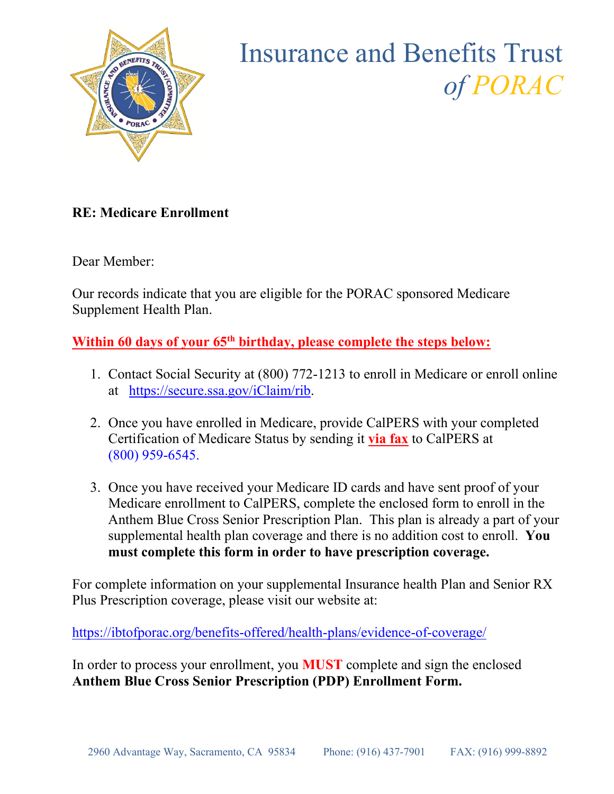

## Insurance and Benefits Trust *of PORAC*

### **RE: Medicare Enrollment**

Dear Member:

Our records indicate that you are eligible for the PORAC sponsored Medicare Supplement Health Plan.

Within 60 days of your 65<sup>th</sup> birthday, please complete the steps below:

- 1. Contact Social Security at (800) 772-1213 to enroll in Medicare or enroll online at [https://secure.ssa.gov/iClaim/rib.](https://secure.ssa.gov/iClaim/rib)
- 2. Once you have enrolled in Medicare, provide CalPERS with your completed Certification of Medicare Status by sending it **via fax** to CalPERS at (800) 959-6545.
- 3. Once you have received your Medicare ID cards and have sent proof of your Medicare enrollment to CalPERS, complete the enclosed form to enroll in the Anthem Blue Cross Senior Prescription Plan. This plan is already a part of your supplemental health plan coverage and there is no addition cost to enroll. **You must complete this form in order to have prescription coverage.**

For complete information on your supplemental Insurance health Plan and Senior RX Plus Prescription coverage, please visit our website at:

<https://ibtofporac.org/benefits-offered/health-plans/evidence-of-coverage/>

In order to process your enrollment, you **MUST** complete and sign the enclosed **Anthem Blue Cross Senior Prescription (PDP) Enrollment Form.**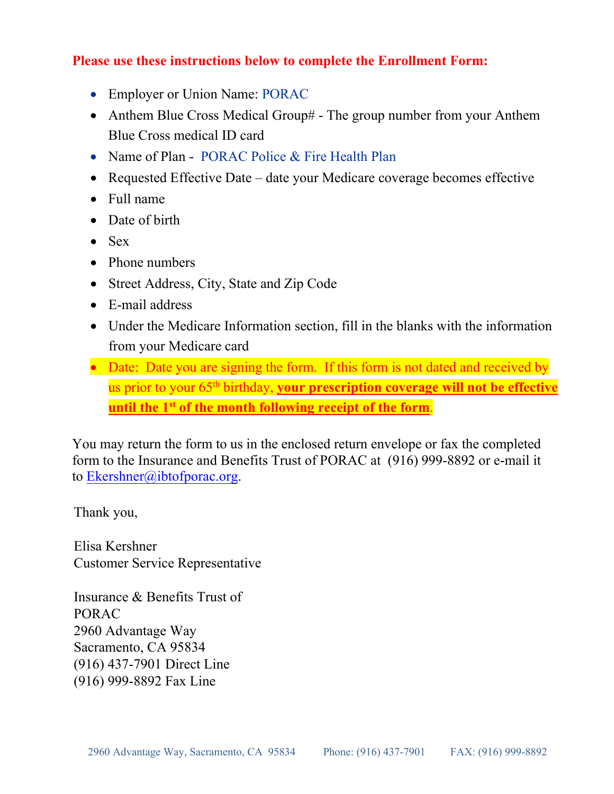#### **Please use these instructions below to complete the Enrollment Form:**

- Employer or Union Name: PORAC
- Anthem Blue Cross Medical Group# The group number from your Anthem Blue Cross medical ID card
- Name of Plan PORAC Police & Fire Health Plan
- Requested Effective Date date your Medicare coverage becomes effective
- Full name
- Date of birth
- Sex
- Phone numbers
- Street Address, City, State and Zip Code
- E-mail address
- Under the Medicare Information section, fill in the blanks with the information from your Medicare card
- Date: Date you are signing the form. If this form is not dated and received by us prior to your 65<sup>th</sup> birthday, your prescription coverage will not be effective **until the 1st of the month following receipt of the form**.

You may return the form to us in the enclosed return envelope or fax the completed form to the Insurance and Benefits Trust of PORAC at (916) 999-8892 or e-mail it to Ekershner[@ibtofporac](mailto:hsimons@ibtofporac.org).org.

Thank you,

Elisa Kershner Customer Service Representative

Insurance & Benefits Trust of PORAC 2960 Advantage Way Sacramento, CA 95834 (916) 437-7901 Direct Line (916) 999-8892 Fax Line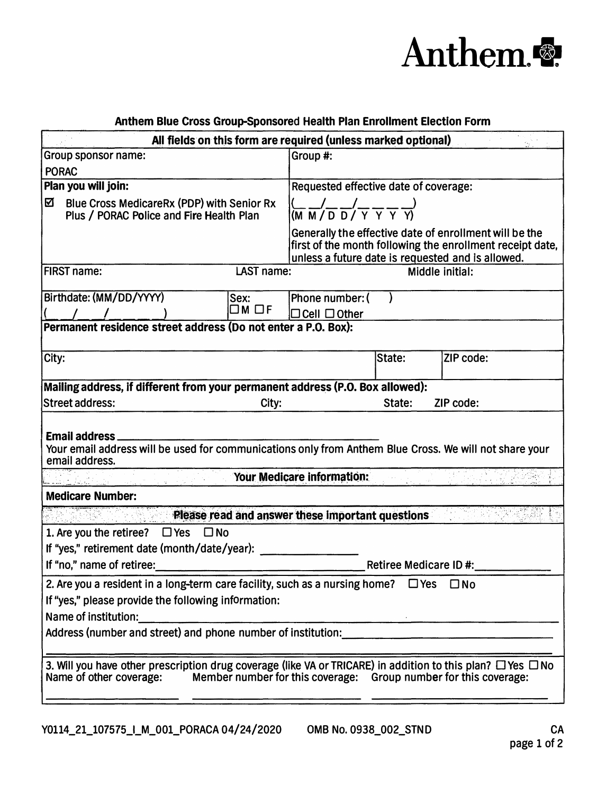

| Anthem Blue Cross Group-Sponsored Health Plan Enrollment Election Form                                                                                                                                            |                                                                                                                      |                                                                                                                                                                          |                        |                 |  |
|-------------------------------------------------------------------------------------------------------------------------------------------------------------------------------------------------------------------|----------------------------------------------------------------------------------------------------------------------|--------------------------------------------------------------------------------------------------------------------------------------------------------------------------|------------------------|-----------------|--|
|                                                                                                                                                                                                                   |                                                                                                                      | All fields on this form are required (unless marked optional)                                                                                                            |                        |                 |  |
| Group sponsor name:                                                                                                                                                                                               |                                                                                                                      | Group #:                                                                                                                                                                 |                        |                 |  |
| <b>PORAC</b>                                                                                                                                                                                                      |                                                                                                                      |                                                                                                                                                                          |                        |                 |  |
| Plan you will join:                                                                                                                                                                                               |                                                                                                                      | Requested effective date of coverage:                                                                                                                                    |                        |                 |  |
| Blue Cross MedicareRx (PDP) with Senior Rx<br>☑<br>Plus / PORAC Police and Fire Health Plan                                                                                                                       |                                                                                                                      | $\frac{1}{(M \cdot M \cdot D \cdot D \cdot Y \cdot Y \cdot Y)}$                                                                                                          |                        |                 |  |
|                                                                                                                                                                                                                   |                                                                                                                      | Generally the effective date of enrollment will be the<br>first of the month following the enrollment receipt date,<br>unless a future date is requested and is allowed. |                        |                 |  |
| <b>FIRST name:</b>                                                                                                                                                                                                | LAST name:                                                                                                           |                                                                                                                                                                          |                        | Middle initial: |  |
| Birthdate: (MM/DD/YYYY)                                                                                                                                                                                           | Sex:                                                                                                                 | Phone number: (                                                                                                                                                          |                        |                 |  |
|                                                                                                                                                                                                                   | $\square$ M $\square$ f                                                                                              | $\Box$ Cell $\Box$ Other                                                                                                                                                 |                        |                 |  |
| Permanent residence street address (Do not enter a P.O. Box):                                                                                                                                                     |                                                                                                                      |                                                                                                                                                                          |                        |                 |  |
| City:                                                                                                                                                                                                             |                                                                                                                      |                                                                                                                                                                          | State:                 | ZIP code:       |  |
| Mailing address, if different from your permanent address (P.O. Box allowed):                                                                                                                                     |                                                                                                                      |                                                                                                                                                                          |                        |                 |  |
| <b>Street address:</b>                                                                                                                                                                                            | City:                                                                                                                |                                                                                                                                                                          | State:                 | ZIP code:       |  |
| Email address_<br>Your email address will be used for communications only from Anthem Blue Cross. We will not share your<br>email address.                                                                        |                                                                                                                      | Your Medicare information:                                                                                                                                               |                        |                 |  |
| <b>Medicare Number:</b>                                                                                                                                                                                           |                                                                                                                      |                                                                                                                                                                          |                        |                 |  |
|                                                                                                                                                                                                                   |                                                                                                                      | Please read and answer these important questions                                                                                                                         |                        |                 |  |
| 1. Are you the retiree? $\Box$ Yes $\Box$ No                                                                                                                                                                      |                                                                                                                      |                                                                                                                                                                          |                        |                 |  |
| If "yes," retirement date (month/date/year):                                                                                                                                                                      |                                                                                                                      |                                                                                                                                                                          |                        |                 |  |
| If "no," name of retiree:                                                                                                                                                                                         | <u> Tanzania de la contrada de la contrada de la contrada de la contrada de la contrada de la contrada de la con</u> |                                                                                                                                                                          | Retiree Medicare ID #: |                 |  |
| 2. Are you a resident in a long-term care facility, such as a nursing home? $\Box$ Yes $\Box$ No                                                                                                                  |                                                                                                                      |                                                                                                                                                                          |                        |                 |  |
| If "yes," please provide the following information:                                                                                                                                                               |                                                                                                                      |                                                                                                                                                                          |                        |                 |  |
| Name of institution:                                                                                                                                                                                              |                                                                                                                      |                                                                                                                                                                          |                        |                 |  |
|                                                                                                                                                                                                                   |                                                                                                                      |                                                                                                                                                                          |                        |                 |  |
| 3. Will you have other prescription drug coverage (like VA or TRICARE) in addition to this plan? $\Box$ Yes $\Box$ No<br>Name of other coverage: Member number for this coverage: Group number for this coverage: |                                                                                                                      |                                                                                                                                                                          |                        |                 |  |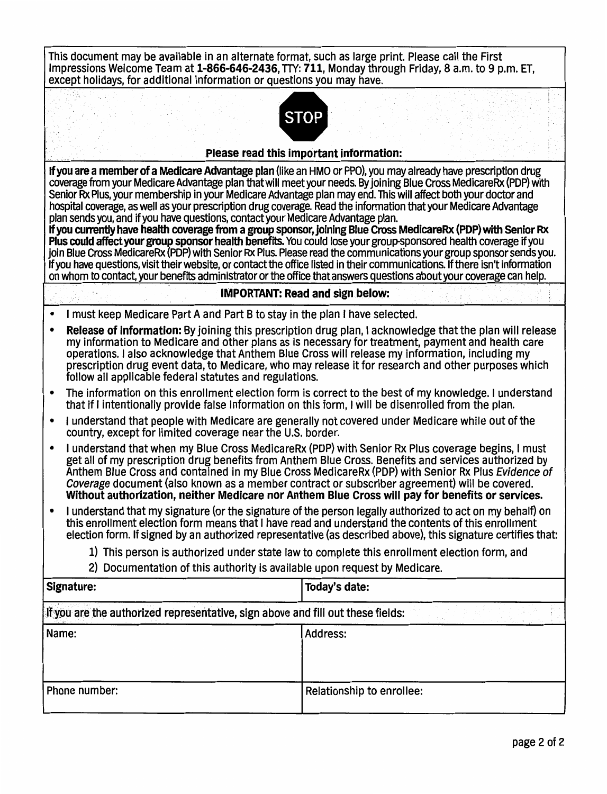| This document may be available in an alternate format, such as large print. Please call the First<br>Impressions Welcome Team at 1-866-646-2436, TTY: 711, Monday through Friday, 8 a.m. to 9 p.m. ET,<br>except holidays, for additional information or questions you may have.                                                                                                                                                                                                                                                                              |                                                                                                       |  |  |  |  |
|---------------------------------------------------------------------------------------------------------------------------------------------------------------------------------------------------------------------------------------------------------------------------------------------------------------------------------------------------------------------------------------------------------------------------------------------------------------------------------------------------------------------------------------------------------------|-------------------------------------------------------------------------------------------------------|--|--|--|--|
| <b>STOP</b><br>Please read this important information:                                                                                                                                                                                                                                                                                                                                                                                                                                                                                                        |                                                                                                       |  |  |  |  |
| If you are a member of a Medicare Advantage plan (like an HMO or PPO), you may already have prescription drug                                                                                                                                                                                                                                                                                                                                                                                                                                                 |                                                                                                       |  |  |  |  |
| coverage from your Medicare Advantage plan that will meet your needs. By joining Blue Cross MedicareRx (PDP) with<br>Senior Rx Plus, your membership in your Medicare Advantage plan may end. This will affect both your doctor and<br>hospital coverage, as well as your prescription drug coverage. Read the information that your Medicare Advantage<br>plan sends you, and if you have questions, contact your Medicare Advantage plan.<br>If you currently have health coverage from a group sponsor, joining Blue Cross MedicareRx (PDP) with Senior Rx |                                                                                                       |  |  |  |  |
| Plus could affect your group sponsor health benefits. You could lose your group-sponsored health coverage if you<br>join Blue Cross MedicareRx (PDP) with Senior Rx Plus. Please read the communications your group sponsor sends you.<br>If you have questions, visit their website, or contact the office listed in their communications. If there isn't information<br>on whom to contact, your benefits administrator or the office that answers questions about your coverage can help.                                                                  |                                                                                                       |  |  |  |  |
|                                                                                                                                                                                                                                                                                                                                                                                                                                                                                                                                                               | <b>IMPORTANT: Read and sign below:</b>                                                                |  |  |  |  |
| I must keep Medicare Part A and Part B to stay in the plan I have selected.                                                                                                                                                                                                                                                                                                                                                                                                                                                                                   |                                                                                                       |  |  |  |  |
| Release of information: By joining this prescription drug plan, I acknowledge that the plan will release<br>٠<br>my information to Medicare and other plans as is necessary for treatment, payment and health care<br>operations. I also acknowledge that Anthem Blue Cross will release my information, including my<br>prescription drug event data, to Medicare, who may release it for research and other purposes which<br>follow all applicable federal statutes and regulations.                                                                       |                                                                                                       |  |  |  |  |
| that if I intentionally provide false information on this form, I will be disenrolled from the plan.                                                                                                                                                                                                                                                                                                                                                                                                                                                          | The information on this enrollment election form is correct to the best of my knowledge. I understand |  |  |  |  |
| I understand that people with Medicare are generally not covered under Medicare while out of the<br>$\bullet$<br>country, except for limited coverage near the U.S. border.                                                                                                                                                                                                                                                                                                                                                                                   |                                                                                                       |  |  |  |  |
| I understand that when my Blue Cross MedicareRx (PDP) with Senior Rx Plus coverage begins, I must<br>٠<br>get all of my prescription drug benefits from Anthem Blue Cross. Benefits and services authorized by<br>Anthem Blue Cross and contained in my Blue Cross MedicareRx (PDP) with Senior Rx Plus Evidence of<br>Coverage document (also known as a member contract or subscriber agreement) will be covered.<br>Without authorization, neither Medicare nor Anthem Blue Cross will pay for benefits or services.                                       |                                                                                                       |  |  |  |  |
| I understand that my signature (or the signature of the person legally authorized to act on my behalf) on<br>this enrollment election form means that I have read and understand the contents of this enrollment<br>election form. If signed by an authorized representative (as described above), this signature certifies that:                                                                                                                                                                                                                             |                                                                                                       |  |  |  |  |
| 1) This person is authorized under state law to complete this enrollment election form, and                                                                                                                                                                                                                                                                                                                                                                                                                                                                   |                                                                                                       |  |  |  |  |
| 2) Documentation of this authority is available upon request by Medicare.                                                                                                                                                                                                                                                                                                                                                                                                                                                                                     |                                                                                                       |  |  |  |  |
| Signature:                                                                                                                                                                                                                                                                                                                                                                                                                                                                                                                                                    | Today's date:                                                                                         |  |  |  |  |
| If you are the authorized representative, sign above and fill out these fields:                                                                                                                                                                                                                                                                                                                                                                                                                                                                               |                                                                                                       |  |  |  |  |
| Name:                                                                                                                                                                                                                                                                                                                                                                                                                                                                                                                                                         | <b>Address:</b>                                                                                       |  |  |  |  |
| Phone number:                                                                                                                                                                                                                                                                                                                                                                                                                                                                                                                                                 | Relationship to enrollee:                                                                             |  |  |  |  |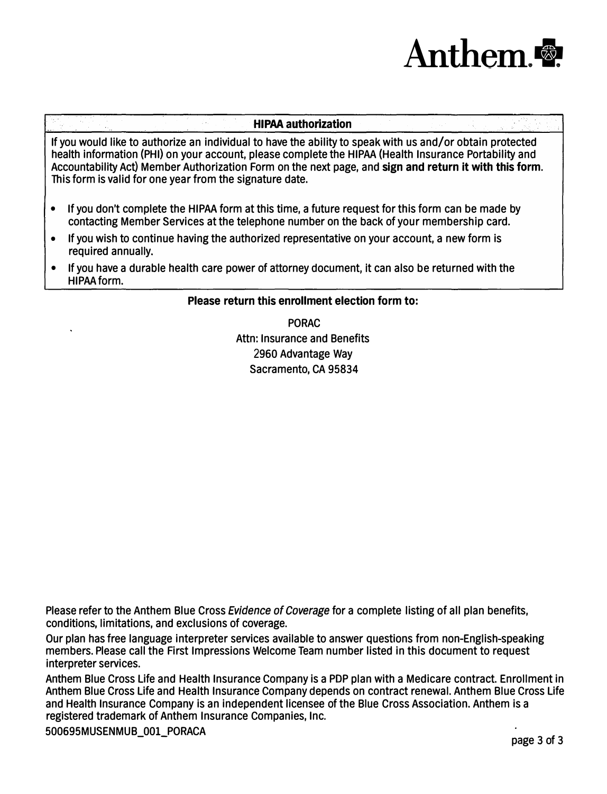# **Anthem.+.**

#### **HIPAA authorization**

If you would like to authorize an individual to have the ability to speak with us and/or obtain protected health information (PHI) on your account, please complete the HIPAA (Health Insurance Portability and Accountability Act} Member Authorization Form on the next page, and **sign and return it with this form.**  This form is valid for one year from the signature date.

- If you don't complete the HIPAA form at this time, a future request for this form can be made by contacting Member Services at the telephone number on the back of your membership card.
- If you wish to continue having the authorized representative on your account, a new form is required annually.
- If you have a durable health care power of attorney document, It can also be returned with the HIPAA form.

#### **Please return this enrollment election form to:**

PORAC Attn: Insurance and Benefits 2960 Advantage Way Sacramento, CA 95834

Please refer to the Anthem Blue Cross *Evidence of Coverage* for a complete listing of all plan benefits, conditions, limitations, and exclusions of coverage.

Our plan has free language interpreter services available to answer questions from non-English-speaking members. Please call the First Impressions Welcome Team number listed in this document to request interpreter services.

Anthem Blue Cross Life and Health Insurance Company is a PDP plan with a Medicare contract. Enrollment in Anthem Blue Cross Life and Health Insurance Company depends on contract renewal. Anthem Blue Cross Life and Health Insurance Company is an independent licensee of the Blue Cross Association. Anthem is a registered trademark of Anthem Insurance Companies, Inc.

500695MUSENMUB\_001\_PORACA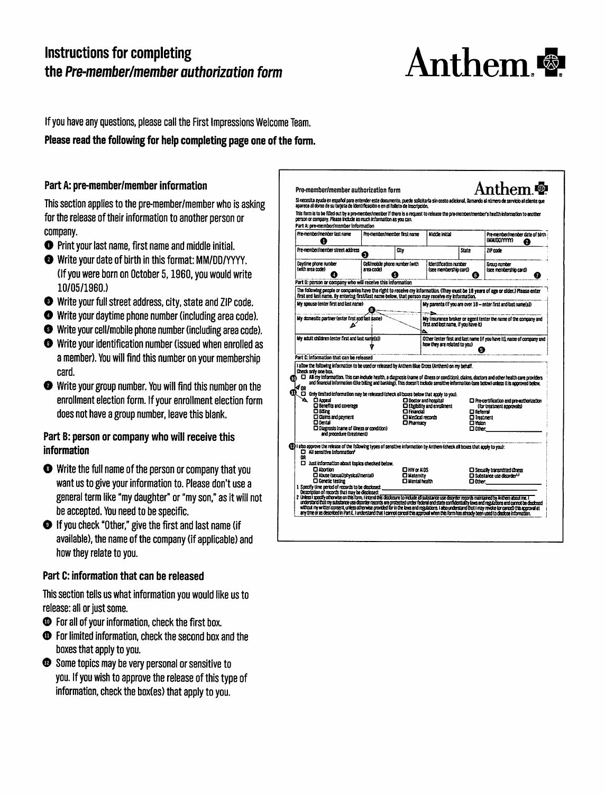## **Instructions for completing** the Pre-member/member authorization form



If you have any questions, please call the First Impressions Welcome Team.

#### Please read the following for help completing page one of the form.

#### Part A: pre-member/member information

This section applies to the pre-member/member who is asking for the release of their information to another person or company.

- **O** Print your last name, first name and middle initial.
- Write your date of birth in this format: MM/DD/YYYY. (If you were born on October 5, 1960, you would write 10/05/1960.)
- Write your full street address, city, state and ZIP code.
- **O** Write your daytime phone number (including area code).
- Write your cell/mobile phone number (including area code).
- Write your identification number (issued when enrolled as a member). You will find this number on your membership card.
- Write your group number. You will find this number on the enrollment election form. If your enrollment election form does not have a group number, leave this blank.

#### Part B: person or company who will receive this information

- Write the full name of the person or company that you want us to give your information to. Please don't use a general term like "my daughter" or "my son." as it will not be accepted. You need to be specific.
- If you check "Other," give the first and last name (if available), the name of the company (if applicable) and how they relate to you.

#### Part C: information that can be released

This section tells us what information you would like us to release: all or just some.

- **Example 3** For all of your information, check the first box.
- **The Forlimited information, check the second box and the** boxes that apply to you.
- Some topics may be very personal or sensitive to you. If you wish to approve the release of this type of information, check the box(es) that apply to you.

| This form is to be filled out by a pre-member/member if there is a request to release the pre-member/member's health information to another<br>person or company. Please include as much information as you can.<br>Part A: pre-member/member information |                                                                                                |                                         |                                                |                    |                                                                                                                                                                                                                                                                                                   |  |
|-----------------------------------------------------------------------------------------------------------------------------------------------------------------------------------------------------------------------------------------------------------|------------------------------------------------------------------------------------------------|-----------------------------------------|------------------------------------------------|--------------------|---------------------------------------------------------------------------------------------------------------------------------------------------------------------------------------------------------------------------------------------------------------------------------------------------|--|
| Pre-member/member last name<br>п                                                                                                                                                                                                                          | Pre-member/member first name                                                                   |                                         | Micklie initial                                |                    | Pre-member/member date of hirth<br>(MM/DD/YYYY)<br>Ø                                                                                                                                                                                                                                              |  |
| Pre-member/member street address                                                                                                                                                                                                                          | a                                                                                              | Chv                                     |                                                | State.             | 71P code                                                                                                                                                                                                                                                                                          |  |
| Daytime phone number<br>(with area code)                                                                                                                                                                                                                  | Cell/mobile phone number (with<br>area code)                                                   | 15                                      | Identification number<br>(see membershio card) | G                  | Group number<br>(see membership card)<br>7                                                                                                                                                                                                                                                        |  |
| Part B: person or company who will receive this information<br>The following people or companies have the right to receive my information. (They must be 16 years of age or older.) Please enter                                                          |                                                                                                |                                         |                                                |                    |                                                                                                                                                                                                                                                                                                   |  |
| first and last name. By entering first/last name below, that person may receive my information.                                                                                                                                                           |                                                                                                |                                         |                                                |                    |                                                                                                                                                                                                                                                                                                   |  |
| My spouse (enter first and last name)                                                                                                                                                                                                                     | 8.                                                                                             |                                         |                                                |                    | My parents (if you are over 18 -- enter first and last name(s))                                                                                                                                                                                                                                   |  |
| My domestic partner (enter first and fast pame)<br>Δ                                                                                                                                                                                                      |                                                                                                |                                         | first and last name, if you have it)           |                    | My insurance broker or agent (enter the name of the company and                                                                                                                                                                                                                                   |  |
| My adult children (enter first and last name(s))                                                                                                                                                                                                          |                                                                                                |                                         | how they are related to you)                   | Œ                  | Other (enter first and last name (if you have it), name of company and                                                                                                                                                                                                                            |  |
| Part C: information that can be released<br>I allow the following information to be used or released by Anthem Blue Cross (Anthem) on my behalf.                                                                                                          |                                                                                                |                                         |                                                |                    |                                                                                                                                                                                                                                                                                                   |  |
| Check only one box.<br>m<br>√œ<br>$Q$ , $\Box$ Only limited information may be released (check all boxes below that apply to you).                                                                                                                        |                                                                                                |                                         |                                                |                    | <sup>1</sup> All my information. This can include health, a diagnosis (name of illness or condition), claims, doctors and other health care providers<br>and financial information (Eke billing and banking). This doesn't include sensitive information (see below) unless it is approved below. |  |
| A.<br>□ Appeal                                                                                                                                                                                                                                            |                                                                                                |                                         | D Doctor and hospital                          |                    | $\square$ Pre-certification and pre-authorization                                                                                                                                                                                                                                                 |  |
| O Benefits and coverage<br>□ Bäng                                                                                                                                                                                                                         |                                                                                                | <b>Dinandi</b>                          | <b>Exciterior</b> and envolvement              | $\square$ Referral | (for treatment approvals)                                                                                                                                                                                                                                                                         |  |
| □ Claims and oarment<br>□ Dental                                                                                                                                                                                                                          |                                                                                                | <b>El Medical records</b><br>□ Pharmacy |                                                |                    | $\Box$ Treatment                                                                                                                                                                                                                                                                                  |  |
| C Diagnosis (name of illness or condition)<br>and procedure (treatment)                                                                                                                                                                                   |                                                                                                |                                         | □Yidon<br>$\square$ Other:                     |                    |                                                                                                                                                                                                                                                                                                   |  |
| (12) I also approve the release of the following types of sensitive information by Anthem (check all boxes that apply to you):<br>$\Box$ All sensitive information <sup>2</sup><br>œ                                                                      |                                                                                                |                                         |                                                |                    |                                                                                                                                                                                                                                                                                                   |  |
|                                                                                                                                                                                                                                                           |                                                                                                |                                         |                                                |                    |                                                                                                                                                                                                                                                                                                   |  |
| $\square$ Just information about topics checked below.                                                                                                                                                                                                    | <b>OHIV OF AIDS</b><br>C Abuse (sexual/physical/mental)<br>$\square$ Maternity                 |                                         |                                                |                    | <b>D</b> Sexually transmitted illness<br><b>El Substance use disorder<sup>12</sup></b>                                                                                                                                                                                                            |  |
| <b>El Abortion</b>                                                                                                                                                                                                                                        | <b>Q Genetic testing</b><br>Mental health<br>1 Specify time period of records to be disclosed: |                                         | □ 0ther:                                       |                    |                                                                                                                                                                                                                                                                                                   |  |
|                                                                                                                                                                                                                                                           |                                                                                                |                                         |                                                |                    |                                                                                                                                                                                                                                                                                                   |  |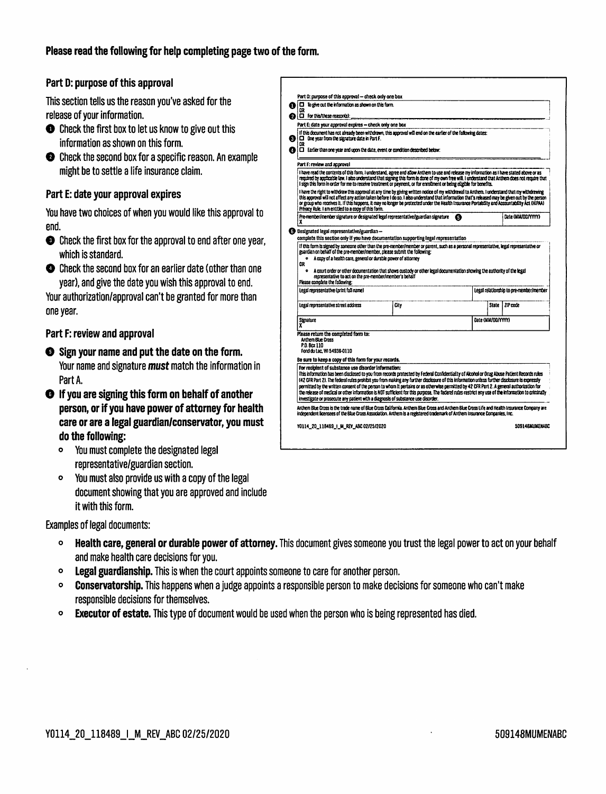#### Please read the following for help completing page two of the form.

#### Part D: purpose of this approval

This section tells us the reason you've asked for the release of your information.

- Check the first box to let us know to give out this information as shown on this form.
- Check the second box for a specific reason. An example might be to settle a life insurance claim.

#### Part E: date your approval expires

You have two choices of when you would like this approval to end.

- **O** Check the first box for the approval to end after one year, which is standard.
- Check the second box for an earlier date (other than one year), and give the date you wish this approval to end.

Your authorization/approval can't be granted for more than one year.

#### Part F: review and approval

- Sign your name and put the date on the form. Your name and signature must match the information in Part A.
- **O** If you are signing this form on behalf of another person, or if you have power of attorney for health care or are a legal guardian/conservator, you must do the following:
	- You must complete the designated legal representative/guardian section.
	- You must also provide us with a copy of the legal  $\bullet$ document showing that you are approved and include it with this form.

**Examples of legal documents:** 

- Health care, general or durable power of attorney. This document gives someone you trust the legal power to act on your behalf and make health care decisions for you.
- **Legal guardianship.** This is when the court appoints someone to care for another person.  $\bullet$
- Conservatorship. This happens when a judge appoints a responsible person to make decisions for someone who can't make responsible decisions for themselves.
- **Executor of estate.** This type of document would be used when the person who is being represented has died.  $\bullet$

| $\Box$ To give out the information as shown on this form.                                                                                                                                                                                                                                                                                                                                                                                                                                                                                                                                                                                                 |                                                                                                                         |   |                                         |
|-----------------------------------------------------------------------------------------------------------------------------------------------------------------------------------------------------------------------------------------------------------------------------------------------------------------------------------------------------------------------------------------------------------------------------------------------------------------------------------------------------------------------------------------------------------------------------------------------------------------------------------------------------------|-------------------------------------------------------------------------------------------------------------------------|---|-----------------------------------------|
| <b>D</b> For this/these reason(s):                                                                                                                                                                                                                                                                                                                                                                                                                                                                                                                                                                                                                        |                                                                                                                         |   |                                         |
| Part E: date your approval expires - check only one box                                                                                                                                                                                                                                                                                                                                                                                                                                                                                                                                                                                                   |                                                                                                                         |   |                                         |
| If this document has not already been withdrawn, this approval will end on the earlier of the following dates:<br>$\Box$ One year from the signature date in Part F.<br>œ<br>$\Box$ Earlier than one year and upon the date, event or condition described below:                                                                                                                                                                                                                                                                                                                                                                                          |                                                                                                                         |   |                                         |
| Part F: review and approval                                                                                                                                                                                                                                                                                                                                                                                                                                                                                                                                                                                                                               |                                                                                                                         |   |                                         |
| I have read the contents of this form, I understand, agree and allow Anthem to use and release my information as I have stated above or as<br>required by applicable law. I also understand that signing this form is done of my own free will. I understand that Anthem does not require that<br>I sign this form in order for me to receive treatment or payment, or for enrollment or being eligible for benefits.                                                                                                                                                                                                                                     |                                                                                                                         |   |                                         |
| I have the right to withdraw this approval at any time by giving written notice of my withdrawal to Anthem, I understand that my withdrawing<br>this approval will not affect any action taken before I do so. I also understand that information that's released may be given out by the person<br>or group who receives it. If this happens, it may no longer be protected under the Health Insurance Portability and Accountability Act (HIPAA)<br>Privacy Rule. I am entitled to a copy of this form.                                                                                                                                                 |                                                                                                                         |   |                                         |
| Pre-member/member signature or designated legal representative/guardian signature<br>x                                                                                                                                                                                                                                                                                                                                                                                                                                                                                                                                                                    |                                                                                                                         | G | Date (MM/DD/YYYY)                       |
| <b>B</b> Designated legal representative/guardian-<br>complete this section only if you have documentation supporting legal representation                                                                                                                                                                                                                                                                                                                                                                                                                                                                                                                |                                                                                                                         |   |                                         |
| If this form is signed by someone other than the pre-member/member or parent, such as a personal representative, legal representative or                                                                                                                                                                                                                                                                                                                                                                                                                                                                                                                  |                                                                                                                         |   |                                         |
|                                                                                                                                                                                                                                                                                                                                                                                                                                                                                                                                                                                                                                                           |                                                                                                                         |   |                                         |
| guardian on behalf of the pre-member/member, please submit the following:<br>A copy of a health care, general or durable power of attorney                                                                                                                                                                                                                                                                                                                                                                                                                                                                                                                |                                                                                                                         |   |                                         |
| ΩR<br>representative to act on the pre-member/member's behalf                                                                                                                                                                                                                                                                                                                                                                                                                                                                                                                                                                                             | A court order or other documentation that shows custody or other legal documentation showing the authority of the legal |   |                                         |
| Please complete the following:<br>Legal representative (print full name)                                                                                                                                                                                                                                                                                                                                                                                                                                                                                                                                                                                  |                                                                                                                         |   |                                         |
| Legal representative street address                                                                                                                                                                                                                                                                                                                                                                                                                                                                                                                                                                                                                       | City                                                                                                                    |   | ZIP code<br><b>State</b>                |
| Signature                                                                                                                                                                                                                                                                                                                                                                                                                                                                                                                                                                                                                                                 |                                                                                                                         |   | Date (MM/DD/YYYY)                       |
| Please return the completed form to:<br>Anthem Blue Cross<br>P.O. Box 110<br>Fond du tac. WI 54936-0110                                                                                                                                                                                                                                                                                                                                                                                                                                                                                                                                                   |                                                                                                                         |   |                                         |
| Be sure to keep a copy of this form for your records.                                                                                                                                                                                                                                                                                                                                                                                                                                                                                                                                                                                                     |                                                                                                                         |   |                                         |
| For recipient of substance use disorder information:<br>This information has been disclosed to you from records protected by Federal Confidentiality of Alcohol or Drug Abuse Patient Records rules<br>(42 CFR Part 2). The federal rules prohibit you from making any further disclosure of this information unless further disclosure is expressly<br>permitted by the written consent of the person to whom it pertains or as otherwise permitted by 42 CFR Part 2. A general authorization for<br>the release of medical or other information is NOT sufficient for this ourpose. The faderel rulas restrict any use of the information to criminally |                                                                                                                         |   |                                         |
| investigate or prosecute any patient with a diagnosis of substance use disorder.<br>Anthem Blue Cross is the trade name of Blue Cross California. Anthem Blue Cross and Anthem Blue Cross Life and Health Insurance Company are<br>independent licensees of the Blue Cross Association, Anthem is a registered trademark of Anthem Insurance Companies, Inc.                                                                                                                                                                                                                                                                                              |                                                                                                                         |   | Legal relationship to pre-member/member |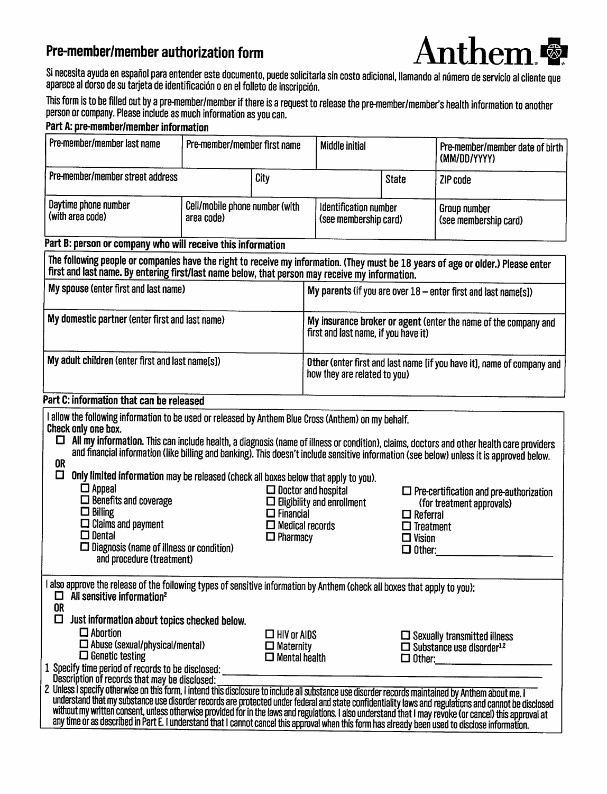## Pre-member/member authorization form



Si necesita ayuda en español para entender este documento, puede solicitarla sin costo adicional, llamando al número de servicio al cliente que<br>aparece al dorso de su tarjeta de identificación o en el folleto de inscripció

This form is to be filled out by a pre-member/member if there is a request to release the pre-member/member's health information to another person or company. Please include as much information as you can.

| Part A: pre-member/member information |
|---------------------------------------|
|---------------------------------------|

| Pre-member/member last name                                                                                                                                                                                                                                                                                                                                                                                                                                                                                                                                                                                                                                                                                                                                                                                                                                                                                                                                                                                                                                   | Pre-member/member first name                 |                                                                                                | <b>Middle initial</b>                                                                                   |                                                                       | Pre-member/member date of birth<br>(MM/DD/YYYY)                                                                                                                                                                                                                                                                                                                      |  |  |
|---------------------------------------------------------------------------------------------------------------------------------------------------------------------------------------------------------------------------------------------------------------------------------------------------------------------------------------------------------------------------------------------------------------------------------------------------------------------------------------------------------------------------------------------------------------------------------------------------------------------------------------------------------------------------------------------------------------------------------------------------------------------------------------------------------------------------------------------------------------------------------------------------------------------------------------------------------------------------------------------------------------------------------------------------------------|----------------------------------------------|------------------------------------------------------------------------------------------------|---------------------------------------------------------------------------------------------------------|-----------------------------------------------------------------------|----------------------------------------------------------------------------------------------------------------------------------------------------------------------------------------------------------------------------------------------------------------------------------------------------------------------------------------------------------------------|--|--|
| Pre-member/member street address                                                                                                                                                                                                                                                                                                                                                                                                                                                                                                                                                                                                                                                                                                                                                                                                                                                                                                                                                                                                                              |                                              | City                                                                                           |                                                                                                         | <b>State</b>                                                          | ZIP code                                                                                                                                                                                                                                                                                                                                                             |  |  |
| Daytime phone number<br>(with area code)                                                                                                                                                                                                                                                                                                                                                                                                                                                                                                                                                                                                                                                                                                                                                                                                                                                                                                                                                                                                                      | Cell/mobile phone number (with<br>area code) |                                                                                                | Identification number<br>(see membership card)                                                          |                                                                       | <b>Group number</b><br>(see membership card)                                                                                                                                                                                                                                                                                                                         |  |  |
| Part B: person or company who will receive this information                                                                                                                                                                                                                                                                                                                                                                                                                                                                                                                                                                                                                                                                                                                                                                                                                                                                                                                                                                                                   |                                              |                                                                                                |                                                                                                         |                                                                       |                                                                                                                                                                                                                                                                                                                                                                      |  |  |
| The following people or companies have the right to receive my information. (They must be 18 years of age or older.) Please enter<br>first and last name. By entering first/last name below, that person may receive my information.                                                                                                                                                                                                                                                                                                                                                                                                                                                                                                                                                                                                                                                                                                                                                                                                                          |                                              |                                                                                                |                                                                                                         |                                                                       |                                                                                                                                                                                                                                                                                                                                                                      |  |  |
| My spouse (enter first and last name)                                                                                                                                                                                                                                                                                                                                                                                                                                                                                                                                                                                                                                                                                                                                                                                                                                                                                                                                                                                                                         |                                              |                                                                                                | My parents (if you are over 18 - enter first and last name[s])                                          |                                                                       |                                                                                                                                                                                                                                                                                                                                                                      |  |  |
| My domestic partner (enter first and last name)                                                                                                                                                                                                                                                                                                                                                                                                                                                                                                                                                                                                                                                                                                                                                                                                                                                                                                                                                                                                               |                                              |                                                                                                | My insurance broker or agent (enter the name of the company and<br>first and last name, if you have it) |                                                                       |                                                                                                                                                                                                                                                                                                                                                                      |  |  |
| My adult children (enter first and last name[s])<br>Other (enter first and last name [if you have it], name of company and<br>how they are related to you)                                                                                                                                                                                                                                                                                                                                                                                                                                                                                                                                                                                                                                                                                                                                                                                                                                                                                                    |                                              |                                                                                                |                                                                                                         |                                                                       |                                                                                                                                                                                                                                                                                                                                                                      |  |  |
| Part C: information that can be released                                                                                                                                                                                                                                                                                                                                                                                                                                                                                                                                                                                                                                                                                                                                                                                                                                                                                                                                                                                                                      |                                              |                                                                                                |                                                                                                         |                                                                       |                                                                                                                                                                                                                                                                                                                                                                      |  |  |
| I allow the following information to be used or released by Anthem Blue Cross (Anthem) on my behalf.<br>Check only one box.<br>0<br><b>OR</b><br>◘<br>Only limited information may be released (check all boxes below that apply to you).<br>$\square$ Appeal<br>$\square$ Benefits and coverage<br>$\square$ Billing<br>$\Box$ Claims and payment<br>$\square$ Dental<br>□ Diagnosis (name of illness or condition)<br>and procedure (treatment)                                                                                                                                                                                                                                                                                                                                                                                                                                                                                                                                                                                                             |                                              | $\square$ Doctor and hospital<br>$\Box$ Financial<br>$\Box$ Medical records<br>$\Box$ Pharmacy | $\Box$ Eligibility and enrollment                                                                       | $\Box$ Referral<br>$\Box$ Treatment<br>$\Box$ Vision<br>$\Box$ Other: | All my information. This can include health, a diagnosis (name of illness or condition), claims, doctors and other health care providers<br>and financial information (like billing and banking). This doesn't include sensitive information (see below) unless it is approved below.<br>$\Box$ Pre-certification and pre-authorization<br>(for treatment approvals) |  |  |
| I also approve the release of the following types of sensitive information by Anthem (check all boxes that apply to you):<br>All sensitive information <sup>2</sup><br>⊔<br>0R<br>□<br>Just information about topics checked below.<br>$\Box$ Abortion<br>$\Box$ Abuse (sexual/physical/mental)<br>$\Box$ Genetic testing<br>1 Specify time period of records to be disclosed:<br>Description of records that may be disclosed:<br>2 Unless I specify otherwise on this form, I intend this disclosure to include all substance use disorder records maintained by Anthem about me. I<br>understand that my substance use disorder records are protected under federal and state confidentiality laws and regulations and cannot be disclosed<br>without my written consent, unless otherwise provided for in the laws and regulations. I also understand that I may revoke (or cancel) this approval at<br>any time or as described in Part E. I understand that I cannot cancel this approval when this form has already been used to disclose information. |                                              | $\Box$ HIV or AIDS<br>$\Box$ Maternity<br>$\Box$ Mental health                                 |                                                                                                         |                                                                       | $\Box$ Sexually transmitted illness<br>$\Box$ Substance use disorder <sup>1,2</sup><br>$\Box$ Other:                                                                                                                                                                                                                                                                 |  |  |